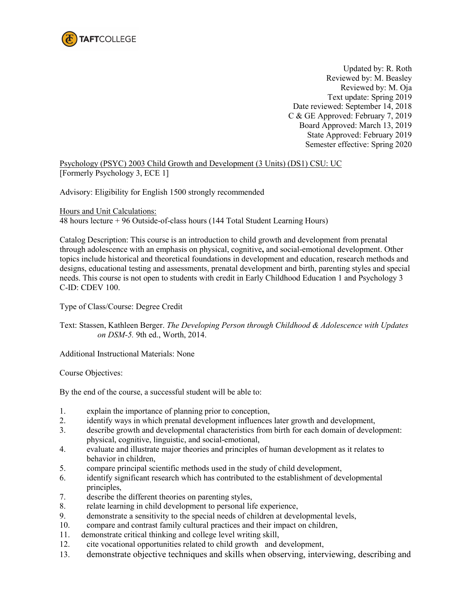

Updated by: R. Roth Reviewed by: M. Beasley Reviewed by: M. Oja Text update: Spring 2019 Date reviewed: September 14, 2018 C & GE Approved: February 7, 2019 Board Approved: March 13, 2019 State Approved: February 2019 Semester effective: Spring 2020

Psychology (PSYC) 2003 Child Growth and Development (3 Units) (DS1) CSU: UC [Formerly Psychology 3, ECE 1]

Advisory: Eligibility for English 1500 strongly recommended

Hours and Unit Calculations: 48 hours lecture + 96 Outside-of-class hours (144 Total Student Learning Hours)

Catalog Description: This course is an introduction to child growth and development from prenatal through adolescence with an emphasis on physical, cognitive**,** and social-emotional development. Other topics include historical and theoretical foundations in development and education, research methods and designs, educational testing and assessments, prenatal development and birth, parenting styles and special needs. This course is not open to students with credit in Early Childhood Education 1 and Psychology 3 C-ID: CDEV 100.

Type of Class/Course: Degree Credit

Text: Stassen, Kathleen Berger. *The Developing Person through Childhood & Adolescence with Updates on DSM-5.* 9th ed., Worth, 2014.

Additional Instructional Materials: None

Course Objectives:

By the end of the course, a successful student will be able to:

- 1. explain the importance of planning prior to conception,
- 2. identify ways in which prenatal development influences later growth and development,
- 3. describe growth and developmental characteristics from birth for each domain of development: physical, cognitive, linguistic, and social-emotional,
- 4. evaluate and illustrate major theories and principles of human development as it relates to behavior in children,
- 5. compare principal scientific methods used in the study of child development,
- 6. identify significant research which has contributed to the establishment of developmental principles,
- 7. describe the different theories on parenting styles,
- 8. relate learning in child development to personal life experience,
- 9. demonstrate a sensitivity to the special needs of children at developmental levels,
- 10. compare and contrast family cultural practices and their impact on children,
- 11. demonstrate critical thinking and college level writing skill,
- 12. cite vocational opportunities related to child growth and development,
- 13. demonstrate objective techniques and skills when observing, interviewing, describing and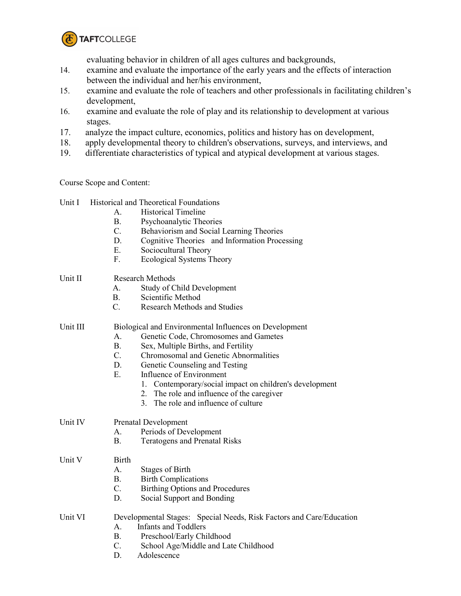

evaluating behavior in children of all ages cultures and backgrounds,

- 14. examine and evaluate the importance of the early years and the effects of interaction between the individual and her/his environment,
- 15. examine and evaluate the role of teachers and other professionals in facilitating children's development,
- 16. examine and evaluate the role of play and its relationship to development at various stages.
- 17. analyze the impact culture, economics, politics and history has on development,
- 18. apply developmental theory to children's observations, surveys, and interviews, and
- 19. differentiate characteristics of typical and atypical development at various stages.

Course Scope and Content:

|         | Unit I   | <b>Historical and Theoretical Foundations</b>                        |
|---------|----------|----------------------------------------------------------------------|
|         |          | <b>Historical Timeline</b><br>$\mathsf{A}$ .                         |
|         |          | B <sub>1</sub><br>Psychoanalytic Theories                            |
|         |          | $C_{\cdot}$<br>Behaviorism and Social Learning Theories              |
|         |          | D.<br>Cognitive Theories and Information Processing                  |
|         |          | E.<br>Sociocultural Theory                                           |
|         |          | F.<br><b>Ecological Systems Theory</b>                               |
|         | Unit II  | <b>Research Methods</b>                                              |
|         |          | Study of Child Development<br>$A_{-}$                                |
|         |          | Β.<br>Scientific Method                                              |
|         |          | $\overline{C}$ .<br><b>Research Methods and Studies</b>              |
|         | Unit III | Biological and Environmental Influences on Development               |
|         |          | Genetic Code, Chromosomes and Gametes<br>A.                          |
|         |          | <b>B.</b><br>Sex, Multiple Births, and Fertility                     |
|         |          | $C_{\cdot}$<br>Chromosomal and Genetic Abnormalities                 |
|         |          | D.<br>Genetic Counseling and Testing                                 |
|         |          | Ε.<br>Influence of Environment                                       |
|         |          | 1. Contemporary/social impact on children's development              |
|         |          | 2. The role and influence of the caregiver                           |
|         |          | 3. The role and influence of culture                                 |
| Unit IV |          | <b>Prenatal Development</b>                                          |
|         |          | Periods of Development<br>$\mathsf{A}$ .                             |
|         |          | <b>B.</b><br><b>Teratogens and Prenatal Risks</b>                    |
|         | Unit V   | <b>Birth</b>                                                         |
|         |          | A.<br>Stages of Birth                                                |
|         |          | <b>B.</b><br><b>Birth Complications</b>                              |
|         |          | $C_{\cdot}$<br><b>Birthing Options and Procedures</b>                |
|         |          | D.<br>Social Support and Bonding                                     |
|         | Unit VI  | Developmental Stages: Special Needs, Risk Factors and Care/Education |
|         |          | <b>Infants and Toddlers</b><br>$\mathsf{A}$                          |
|         |          | <b>B.</b><br>Preschool/Early Childhood                               |
|         |          | $\overline{C}$ .<br>School Age/Middle and Late Childhood             |
|         |          |                                                                      |

D. Adolescence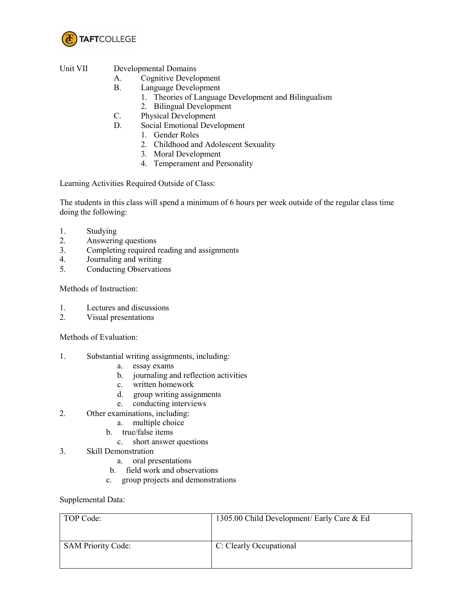

## Unit VII Developmental Domains

- A. Cognitive Development
- B. Language Development
	- 1. Theories of Language Development and Bilingualism
	- 2. Bilingual Development
- C. Physical Development
- D. Social Emotional Development
	- 1. Gender Roles
	- 2. Childhood and Adolescent Sexuality
	- 3. Moral Development
	- 4. Temperament and Personality

Learning Activities Required Outside of Class:

The students in this class will spend a minimum of 6 hours per week outside of the regular class time doing the following:

- 1. Studying<br>2. Answerin
- 2. Answering questions
- 3. Completing required reading and assignments
- 4. Journaling and writing
- 5. Conducting Observations

Methods of Instruction:

- 1. Lectures and discussions
- 2. Visual presentations

Methods of Evaluation:

- 1. Substantial writing assignments, including:
	- a. essay exams
	- b. journaling and reflection activities
	- c. written homework
	- d. group writing assignments
	- e. conducting interviews
- 2. Other examinations, including:
	- a. multiple choice
	- b. true/false items
- c. short answer questions<br>3. Skill Demonstration
- Skill Demonstration
	- a. oral presentations
	- b. field work and observations
	- c. group projects and demonstrations

Supplemental Data:

| TOP Code:                 | 1305.00 Child Development/ Early Care & Ed |
|---------------------------|--------------------------------------------|
| <b>SAM Priority Code:</b> | C: Clearly Occupational                    |